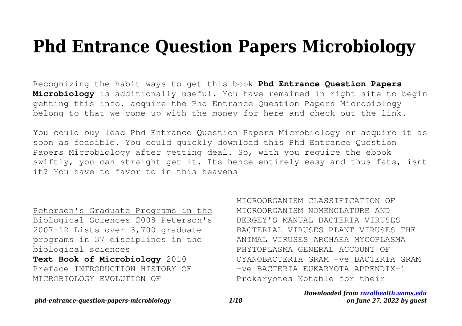# **Phd Entrance Question Papers Microbiology**

Recognizing the habit ways to get this book **Phd Entrance Question Papers Microbiology** is additionally useful. You have remained in right site to begin getting this info. acquire the Phd Entrance Question Papers Microbiology belong to that we come up with the money for here and check out the link.

You could buy lead Phd Entrance Question Papers Microbiology or acquire it as soon as feasible. You could quickly download this Phd Entrance Question Papers Microbiology after getting deal. So, with you require the ebook swiftly, you can straight get it. Its hence entirely easy and thus fats, isnt it? You have to favor to in this heavens

Peterson's Graduate Programs in the Biological Sciences 2008 Peterson's 2007-12 Lists over 3,700 graduate programs in 37 disciplines in the biological sciences

**Text Book of Microbiology** 2010 Preface INTRODUCTION HISTORY OF MICROBIOLOGY EVOLUTION OF

MICROORGANISM CLASSIFICATION OF MICROORGANISM NOMENCLATURE AND BERGEY'S MANUAL BACTERIA VIRUSES BACTERIAL VIRUSES PLANT VIRUSES THE ANIMAL VIRUSES ARCHAEA MYCOPLASMA PHYTOPLASMA GENERAL ACCOUNT OF CYANOBACTERIA GRAM -ve BACTERIA GRAM +ve BACTERIA EUKARYOTA APPENDIX-1 Prokaryotes Notable for their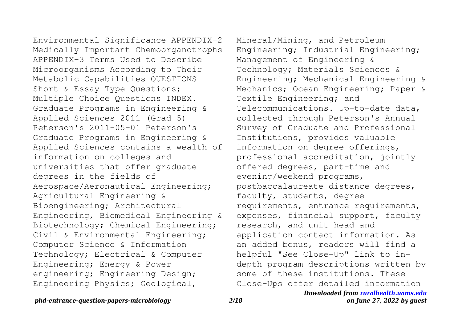Environmental Significance APPENDIX-2 Medically Important Chemoorganotrophs APPENDIX-3 Terms Used to Describe Microorganisms According to Their Metabolic Capabilities QUESTIONS Short & Essay Type Questions; Multiple Choice Questions INDEX. Graduate Programs in Engineering & Applied Sciences 2011 (Grad 5) Peterson's 2011-05-01 Peterson's Graduate Programs in Engineering & Applied Sciences contains a wealth of information on colleges and universities that offer graduate degrees in the fields of Aerospace/Aeronautical Engineering; Agricultural Engineering & Bioengineering; Architectural Engineering, Biomedical Engineering & Biotechnology; Chemical Engineering; Civil & Environmental Engineering; Computer Science & Information Technology; Electrical & Computer Engineering; Energy & Power engineering; Engineering Design; Engineering Physics; Geological,

Mineral/Mining, and Petroleum Engineering; Industrial Engineering; Management of Engineering & Technology; Materials Sciences & Engineering; Mechanical Engineering & Mechanics; Ocean Engineering; Paper & Textile Engineering; and Telecommunications. Up-to-date data, collected through Peterson's Annual Survey of Graduate and Professional Institutions, provides valuable information on degree offerings, professional accreditation, jointly offered degrees, part-time and evening/weekend programs, postbaccalaureate distance degrees, faculty, students, degree requirements, entrance requirements, expenses, financial support, faculty research, and unit head and application contact information. As an added bonus, readers will find a helpful "See Close-Up" link to indepth program descriptions written by some of these institutions. These Close-Ups offer detailed information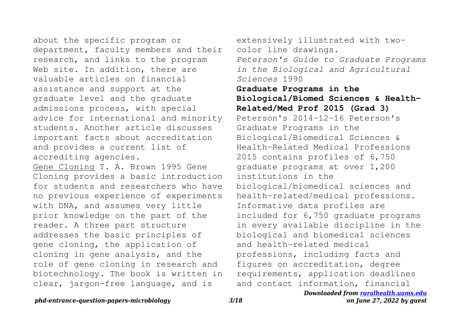about the specific program or department, faculty members and their research, and links to the program Web site. In addition, there are valuable articles on financial assistance and support at the graduate level and the graduate admissions process, with special advice for international and minority students. Another article discusses important facts about accreditation and provides a current list of accrediting agencies.

Gene Cloning T. A. Brown 1995 Gene Cloning provides a basic introduction for students and researchers who have no previous experience of experiments with DNA, and assumes very little prior knowledge on the part of the reader. A three part structure addresses the basic principles of gene cloning, the application of cloning in gene analysis, and the role of gene cloning in research and biotechnology. The book is written in clear, jargon-free language, and is

extensively illustrated with twocolor line drawings. *Peterson's Guide to Graduate Programs in the Biological and Agricultural Sciences* 1990 **Graduate Programs in the Biological/Biomed Sciences & Health-Related/Med Prof 2015 (Grad 3)** Peterson's 2014-12-16 Peterson's Graduate Programs in the Biological/Biomedical Sciences & Health-Related Medical Professions 2015 contains profiles of 6,750 graduate programs at over 1,200 institutions in the biological/biomedical sciences and health-related/medical professions. Informative data profiles are included for 6,750 graduate programs in every available discipline in the biological and biomedical sciences and health-related medical professions, including facts and figures on accreditation, degree requirements, application deadlines and contact information, financial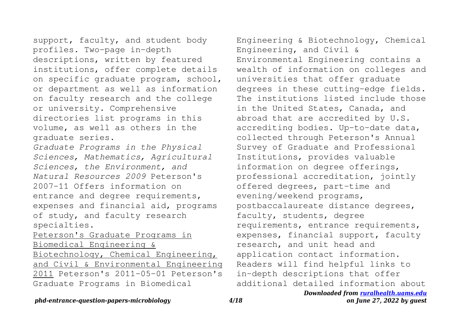support, faculty, and student body profiles. Two-page in-depth descriptions, written by featured institutions, offer complete details on specific graduate program, school, or department as well as information on faculty research and the college or university. Comprehensive directories list programs in this volume, as well as others in the graduate series. *Graduate Programs in the Physical Sciences, Mathematics, Agricultural Sciences, the Environment, and Natural Resources 2009* Peterson's 2007-11 Offers information on entrance and degree requirements, expenses and financial aid, programs of study, and faculty research

specialties.

Peterson's Graduate Programs in Biomedical Engineering & Biotechnology, Chemical Engineering, and Civil & Environmental Engineering 2011 Peterson's 2011-05-01 Peterson's Graduate Programs in Biomedical

Engineering & Biotechnology, Chemical Engineering, and Civil & Environmental Engineering contains a wealth of information on colleges and universities that offer graduate degrees in these cutting-edge fields. The institutions listed include those in the United States, Canada, and abroad that are accredited by U.S. accrediting bodies. Up-to-date data, collected through Peterson's Annual Survey of Graduate and Professional Institutions, provides valuable information on degree offerings, professional accreditation, jointly offered degrees, part-time and evening/weekend programs, postbaccalaureate distance degrees, faculty, students, degree requirements, entrance requirements, expenses, financial support, faculty research, and unit head and application contact information. Readers will find helpful links to in-depth descriptions that offer additional detailed information about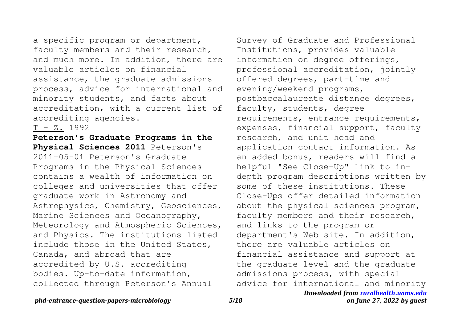a specific program or department, faculty members and their research, and much more. In addition, there are valuable articles on financial assistance, the graduate admissions process, advice for international and minority students, and facts about accreditation, with a current list of accrediting agencies.

T - Z. 1992

**Peterson's Graduate Programs in the Physical Sciences 2011** Peterson's 2011-05-01 Peterson's Graduate Programs in the Physical Sciences contains a wealth of information on colleges and universities that offer graduate work in Astronomy and Astrophysics, Chemistry, Geosciences, Marine Sciences and Oceanography, Meteorology and Atmospheric Sciences, and Physics. The institutions listed include those in the United States, Canada, and abroad that are accredited by U.S. accrediting bodies. Up-to-date information, collected through Peterson's Annual

Survey of Graduate and Professional Institutions, provides valuable information on degree offerings, professional accreditation, jointly offered degrees, part-time and evening/weekend programs, postbaccalaureate distance degrees, faculty, students, degree requirements, entrance requirements, expenses, financial support, faculty research, and unit head and application contact information. As an added bonus, readers will find a helpful "See Close-Up" link to indepth program descriptions written by some of these institutions. These Close-Ups offer detailed information about the physical sciences program, faculty members and their research, and links to the program or department's Web site. In addition, there are valuable articles on financial assistance and support at the graduate level and the graduate admissions process, with special advice for international and minority

## *Downloaded from [ruralhealth.uams.edu](http://ruralhealth.uams.edu) on June 27, 2022 by guest*

## *phd-entrance-question-papers-microbiology 5/18*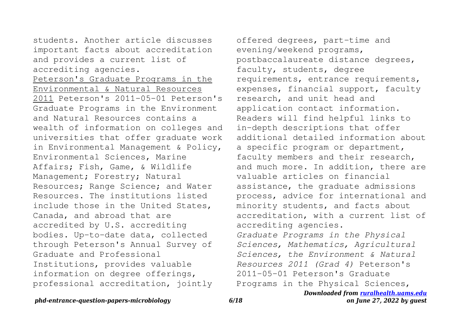students. Another article discusses important facts about accreditation and provides a current list of accrediting agencies.

Peterson's Graduate Programs in the Environmental & Natural Resources 2011 Peterson's 2011-05-01 Peterson's Graduate Programs in the Environment and Natural Resources contains a wealth of information on colleges and universities that offer graduate work in Environmental Management & Policy, Environmental Sciences, Marine Affairs; Fish, Game, & Wildlife Management; Forestry; Natural Resources; Range Science; and Water Resources. The institutions listed include those in the United States, Canada, and abroad that are accredited by U.S. accrediting bodies. Up-to-date data, collected through Peterson's Annual Survey of Graduate and Professional Institutions, provides valuable information on degree offerings, professional accreditation, jointly

offered degrees, part-time and evening/weekend programs, postbaccalaureate distance degrees, faculty, students, degree requirements, entrance requirements, expenses, financial support, faculty research, and unit head and application contact information. Readers will find helpful links to in-depth descriptions that offer additional detailed information about a specific program or department, faculty members and their research, and much more. In addition, there are valuable articles on financial assistance, the graduate admissions process, advice for international and minority students, and facts about accreditation, with a current list of accrediting agencies. *Graduate Programs in the Physical Sciences, Mathematics, Agricultural Sciences, the Environment & Natural Resources 2011 (Grad 4)* Peterson's 2011-05-01 Peterson's Graduate Programs in the Physical Sciences,

*phd-entrance-question-papers-microbiology 6/18*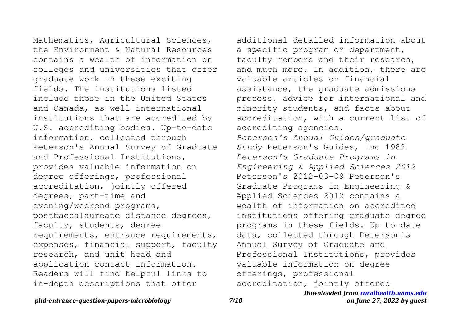Mathematics, Agricultural Sciences, the Environment & Natural Resources contains a wealth of information on colleges and universities that offer graduate work in these exciting fields. The institutions listed include those in the United States and Canada, as well international institutions that are accredited by U.S. accrediting bodies. Up-to-date information, collected through Peterson's Annual Survey of Graduate and Professional Institutions, provides valuable information on degree offerings, professional accreditation, jointly offered degrees, part-time and evening/weekend programs, postbaccalaureate distance degrees, faculty, students, degree requirements, entrance requirements, expenses, financial support, faculty research, and unit head and application contact information. Readers will find helpful links to in-depth descriptions that offer

additional detailed information about a specific program or department, faculty members and their research, and much more. In addition, there are valuable articles on financial assistance, the graduate admissions process, advice for international and minority students, and facts about accreditation, with a current list of accrediting agencies. *Peterson's Annual Guides/graduate Study* Peterson's Guides, Inc 1982 *Peterson's Graduate Programs in Engineering & Applied Sciences 2012* Peterson's 2012-03-09 Peterson's Graduate Programs in Engineering & Applied Sciences 2012 contains a wealth of information on accredited institutions offering graduate degree programs in these fields. Up-to-date data, collected through Peterson's Annual Survey of Graduate and Professional Institutions, provides valuable information on degree offerings, professional accreditation, jointly offered

*Downloaded from [ruralhealth.uams.edu](http://ruralhealth.uams.edu)*

## *phd-entrance-question-papers-microbiology 7/18*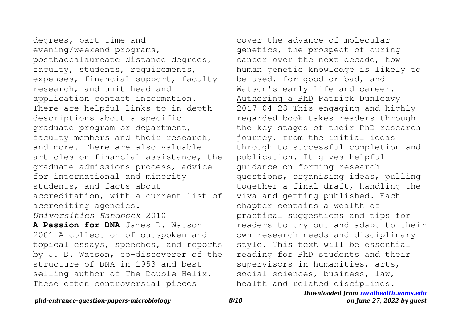degrees, part-time and evening/weekend programs, postbaccalaureate distance degrees, faculty, students, requirements, expenses, financial support, faculty research, and unit head and application contact information. There are helpful links to in-depth descriptions about a specific graduate program or department, faculty members and their research, and more. There are also valuable articles on financial assistance, the graduate admissions process, advice for international and minority students, and facts about accreditation, with a current list of accrediting agencies. *Universities Handbook* 2010

**A Passion for DNA** James D. Watson 2001 A collection of outspoken and topical essays, speeches, and reports by J. D. Watson, co-discoverer of the structure of DNA in 1953 and bestselling author of The Double Helix. These often controversial pieces

cover the advance of molecular genetics, the prospect of curing cancer over the next decade, how human genetic knowledge is likely to be used, for good or bad, and Watson's early life and career. Authoring a PhD Patrick Dunleavy 2017-04-28 This engaging and highly regarded book takes readers through the key stages of their PhD research journey, from the initial ideas through to successful completion and publication. It gives helpful guidance on forming research questions, organising ideas, pulling together a final draft, handling the viva and getting published. Each chapter contains a wealth of practical suggestions and tips for readers to try out and adapt to their own research needs and disciplinary style. This text will be essential reading for PhD students and their supervisors in humanities, arts, social sciences, business, law, health and related disciplines.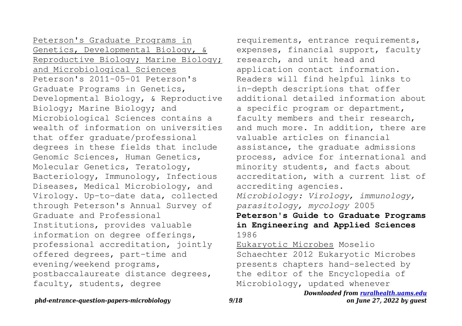Peterson's Graduate Programs in Genetics, Developmental Biology, & Reproductive Biology; Marine Biology; and Microbiological Sciences Peterson's 2011-05-01 Peterson's Graduate Programs in Genetics, Developmental Biology, & Reproductive Biology; Marine Biology; and Microbiological Sciences contains a wealth of information on universities that offer graduate/professional degrees in these fields that include Genomic Sciences, Human Genetics, Molecular Genetics, Teratology, Bacteriology, Immunology, Infectious Diseases, Medical Microbiology, and Virology. Up-to-date data, collected through Peterson's Annual Survey of Graduate and Professional Institutions, provides valuable information on degree offerings, professional accreditation, jointly offered degrees, part-time and evening/weekend programs, postbaccalaureate distance degrees, faculty, students, degree

requirements, entrance requirements, expenses, financial support, faculty research, and unit head and application contact information. Readers will find helpful links to in-depth descriptions that offer additional detailed information about a specific program or department, faculty members and their research, and much more. In addition, there are valuable articles on financial assistance, the graduate admissions process, advice for international and minority students, and facts about accreditation, with a current list of accrediting agencies. *Microbiology: Virology, immunology, parasitology, mycology* 2005 **Peterson's Guide to Graduate Programs in Engineering and Applied Sciences** 1986

Eukaryotic Microbes Moselio Schaechter 2012 Eukaryotic Microbes presents chapters hand-selected by the editor of the Encyclopedia of Microbiology, updated whenever

## *phd-entrance-question-papers-microbiology 9/18*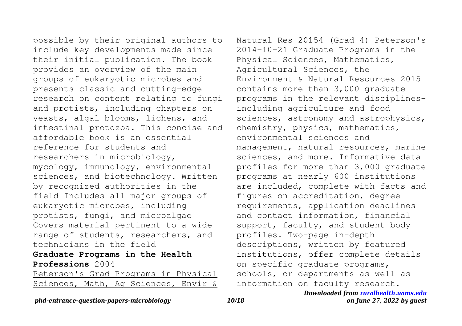possible by their original authors to include key developments made since their initial publication. The book provides an overview of the main groups of eukaryotic microbes and presents classic and cutting-edge research on content relating to fungi and protists, including chapters on yeasts, algal blooms, lichens, and intestinal protozoa. This concise and affordable book is an essential reference for students and researchers in microbiology, mycology, immunology, environmental sciences, and biotechnology. Written by recognized authorities in the field Includes all major groups of eukaryotic microbes, including protists, fungi, and microalgae Covers material pertinent to a wide range of students, researchers, and technicians in the field

## **Graduate Programs in the Health Professions** 2004

Peterson's Grad Programs in Physical Sciences, Math, Ag Sciences, Envir & Natural Res 20154 (Grad 4) Peterson's 2014-10-21 Graduate Programs in the Physical Sciences, Mathematics, Agricultural Sciences, the Environment & Natural Resources 2015 contains more than 3,000 graduate programs in the relevant disciplinesincluding agriculture and food sciences, astronomy and astrophysics, chemistry, physics, mathematics, environmental sciences and management, natural resources, marine sciences, and more. Informative data profiles for more than 3,000 graduate programs at nearly 600 institutions are included, complete with facts and figures on accreditation, degree requirements, application deadlines and contact information, financial support, faculty, and student body profiles. Two-page in-depth descriptions, written by featured institutions, offer complete details on specific graduate programs, schools, or departments as well as information on faculty research.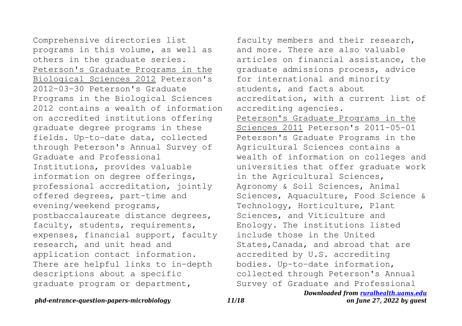Comprehensive directories list programs in this volume, as well as others in the graduate series. Peterson's Graduate Programs in the Biological Sciences 2012 Peterson's 2012-03-30 Peterson's Graduate Programs in the Biological Sciences 2012 contains a wealth of information on accredited institutions offering graduate degree programs in these fields. Up-to-date data, collected through Peterson's Annual Survey of Graduate and Professional Institutions, provides valuable information on degree offerings, professional accreditation, jointly offered degrees, part-time and evening/weekend programs, postbaccalaureate distance degrees, faculty, students, requirements, expenses, financial support, faculty research, and unit head and application contact information. There are helpful links to in-depth descriptions about a specific graduate program or department,

faculty members and their research, and more. There are also valuable articles on financial assistance, the graduate admissions process, advice for international and minority students, and facts about accreditation, with a current list of accrediting agencies. Peterson's Graduate Programs in the Sciences 2011 Peterson's 2011-05-01 Peterson's Graduate Programs in the Agricultural Sciences contains a wealth of information on colleges and universities that offer graduate work in the Agricultural Sciences, Agronomy & Soil Sciences, Animal Sciences, Aquaculture, Food Science & Technology, Horticulture, Plant Sciences, and Viticulture and Enology. The institutions listed include those in the United States,Canada, and abroad that are accredited by U.S. accrediting bodies. Up-to-date information, collected through Peterson's Annual Survey of Graduate and Professional

#### *Downloaded from [ruralhealth.uams.edu](http://ruralhealth.uams.edu) on June 27, 2022 by guest*

## *phd-entrance-question-papers-microbiology 11/18*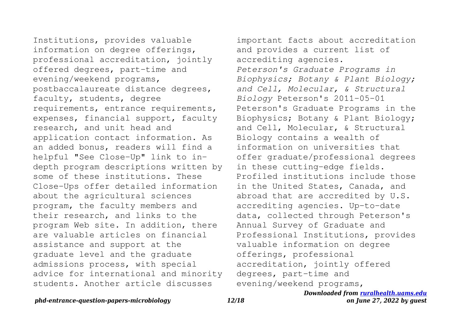Institutions, provides valuable information on degree offerings, professional accreditation, jointly offered degrees, part-time and evening/weekend programs, postbaccalaureate distance degrees, faculty, students, degree requirements, entrance requirements, expenses, financial support, faculty research, and unit head and application contact information. As an added bonus, readers will find a helpful "See Close-Up" link to indepth program descriptions written by some of these institutions. These Close-Ups offer detailed information about the agricultural sciences program, the faculty members and their research, and links to the program Web site. In addition, there are valuable articles on financial assistance and support at the graduate level and the graduate admissions process, with special advice for international and minority students. Another article discusses

important facts about accreditation and provides a current list of accrediting agencies. *Peterson's Graduate Programs in Biophysics; Botany & Plant Biology; and Cell, Molecular, & Structural Biology* Peterson's 2011-05-01 Peterson's Graduate Programs in the Biophysics; Botany & Plant Biology; and Cell, Molecular, & Structural Biology contains a wealth of information on universities that offer graduate/professional degrees in these cutting-edge fields. Profiled institutions include those in the United States, Canada, and abroad that are accredited by U.S. accrediting agencies. Up-to-date data, collected through Peterson's Annual Survey of Graduate and Professional Institutions, provides valuable information on degree offerings, professional accreditation, jointly offered degrees, part-time and evening/weekend programs,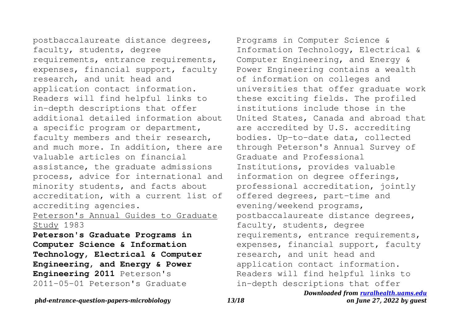postbaccalaureate distance degrees, faculty, students, degree requirements, entrance requirements, expenses, financial support, faculty research, and unit head and application contact information. Readers will find helpful links to in-depth descriptions that offer additional detailed information about a specific program or department, faculty members and their research, and much more. In addition, there are valuable articles on financial assistance, the graduate admissions process, advice for international and minority students, and facts about accreditation, with a current list of accrediting agencies.

## Peterson's Annual Guides to Graduate Study 1983

**Peterson's Graduate Programs in Computer Science & Information Technology, Electrical & Computer Engineering, and Energy & Power Engineering 2011** Peterson's 2011-05-01 Peterson's Graduate

Programs in Computer Science & Information Technology, Electrical & Computer Engineering, and Energy & Power Engineering contains a wealth of information on colleges and universities that offer graduate work these exciting fields. The profiled institutions include those in the United States, Canada and abroad that are accredited by U.S. accrediting bodies. Up-to-date data, collected through Peterson's Annual Survey of Graduate and Professional Institutions, provides valuable information on degree offerings, professional accreditation, jointly offered degrees, part-time and evening/weekend programs, postbaccalaureate distance degrees, faculty, students, degree requirements, entrance requirements, expenses, financial support, faculty research, and unit head and application contact information. Readers will find helpful links to in-depth descriptions that offer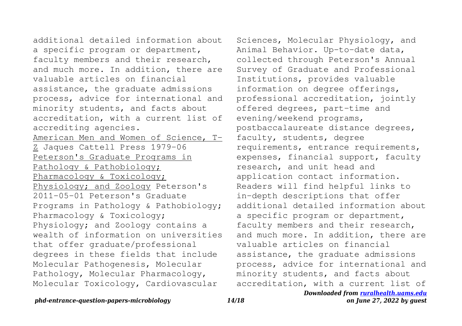additional detailed information about a specific program or department, faculty members and their research, and much more. In addition, there are valuable articles on financial assistance, the graduate admissions process, advice for international and minority students, and facts about accreditation, with a current list of accrediting agencies. American Men and Women of Science, T-Z Jaques Cattell Press 1979-06 Peterson's Graduate Programs in Pathology & Pathobiology; Pharmacology & Toxicology; Physiology; and Zoology Peterson's 2011-05-01 Peterson's Graduate Programs in Pathology & Pathobiology; Pharmacology & Toxicology; Physiology; and Zoology contains a wealth of information on universities that offer graduate/professional degrees in these fields that include Molecular Pathogenesis, Molecular Pathology, Molecular Pharmacology, Molecular Toxicology, Cardiovascular

Sciences, Molecular Physiology, and Animal Behavior. Up-to-date data, collected through Peterson's Annual Survey of Graduate and Professional Institutions, provides valuable information on degree offerings, professional accreditation, jointly offered degrees, part-time and evening/weekend programs, postbaccalaureate distance degrees, faculty, students, degree requirements, entrance requirements, expenses, financial support, faculty research, and unit head and application contact information. Readers will find helpful links to in-depth descriptions that offer additional detailed information about a specific program or department, faculty members and their research, and much more. In addition, there are valuable articles on financial assistance, the graduate admissions process, advice for international and minority students, and facts about accreditation, with a current list of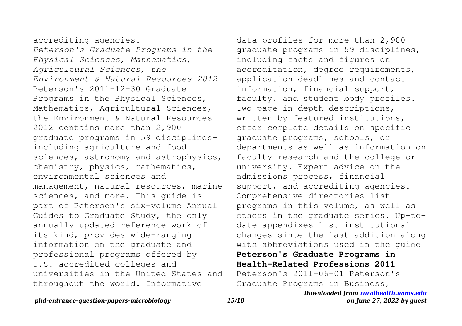accrediting agencies.

*Peterson's Graduate Programs in the Physical Sciences, Mathematics, Agricultural Sciences, the Environment & Natural Resources 2012* Peterson's 2011-12-30 Graduate Programs in the Physical Sciences, Mathematics, Agricultural Sciences, the Environment & Natural Resources 2012 contains more than 2,900 graduate programs in 59 disciplinesincluding agriculture and food sciences, astronomy and astrophysics, chemistry, physics, mathematics, environmental sciences and management, natural resources, marine sciences, and more. This guide is part of Peterson's six-volume Annual Guides to Graduate Study, the only annually updated reference work of its kind, provides wide-ranging information on the graduate and professional programs offered by U.S.-accredited colleges and universities in the United States and throughout the world. Informative

data profiles for more than 2,900 graduate programs in 59 disciplines, including facts and figures on accreditation, degree requirements, application deadlines and contact information, financial support, faculty, and student body profiles. Two-page in-depth descriptions, written by featured institutions, offer complete details on specific graduate programs, schools, or departments as well as information on faculty research and the college or university. Expert advice on the admissions process, financial support, and accrediting agencies. Comprehensive directories list programs in this volume, as well as others in the graduate series. Up-todate appendixes list institutional changes since the last addition along with abbreviations used in the guide **Peterson's Graduate Programs in Health-Related Professions 2011**

Peterson's 2011-06-01 Peterson's Graduate Programs in Business,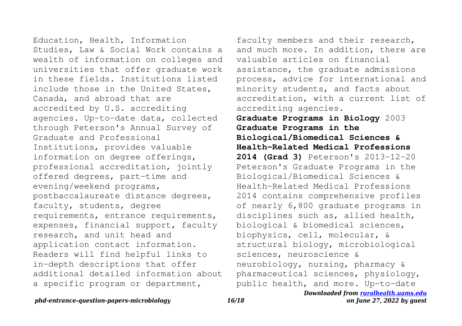Education, Health, Information Studies, Law & Social Work contains a wealth of information on colleges and universities that offer graduate work in these fields. Institutions listed include those in the United States, Canada, and abroad that are accredited by U.S. accrediting agencies. Up-to-date data, collected through Peterson's Annual Survey of Graduate and Professional Institutions, provides valuable information on degree offerings, professional accreditation, jointly offered degrees, part-time and evening/weekend programs, postbaccalaureate distance degrees, faculty, students, degree requirements, entrance requirements, expenses, financial support, faculty research, and unit head and application contact information. Readers will find helpful links to in-depth descriptions that offer additional detailed information about a specific program or department,

faculty members and their research, and much more. In addition, there are valuable articles on financial assistance, the graduate admissions process, advice for international and minority students, and facts about accreditation, with a current list of accrediting agencies.

**Graduate Programs in Biology** 2003 **Graduate Programs in the Biological/Biomedical Sciences & Health-Related Medical Professions 2014 (Grad 3)** Peterson's 2013-12-20 Peterson's Graduate Programs in the Biological/Biomedical Sciences & Health-Related Medical Professions 2014 contains comprehensive profiles of nearly 6,800 graduate programs in disciplines such as, allied health, biological & biomedical sciences, biophysics, cell, molecular, & structural biology, microbiological sciences, neuroscience & neurobiology, nursing, pharmacy & pharmaceutical sciences, physiology, public health, and more. Up-to-date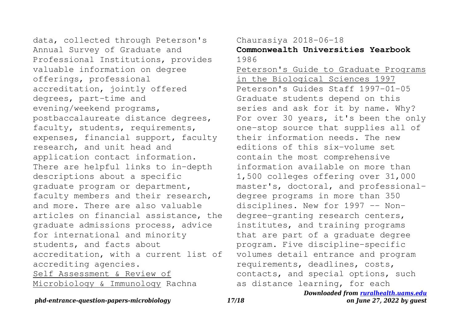data, collected through Peterson's Annual Survey of Graduate and Professional Institutions, provides valuable information on degree offerings, professional accreditation, jointly offered degrees, part-time and evening/weekend programs, postbaccalaureate distance degrees, faculty, students, requirements, expenses, financial support, faculty research, and unit head and application contact information. There are helpful links to in-depth descriptions about a specific graduate program or department, faculty members and their research, and more. There are also valuable articles on financial assistance, the graduate admissions process, advice for international and minority students, and facts about accreditation, with a current list of accrediting agencies. Self Assessment & Review of Microbiology & Immunology Rachna

## Chaurasiya 2018-06-18

**Commonwealth Universities Yearbook** 1986

Peterson's Guide to Graduate Programs in the Biological Sciences 1997 Peterson's Guides Staff 1997-01-05 Graduate students depend on this series and ask for it by name. Why? For over 30 years, it's been the only one-stop source that supplies all of their information needs. The new editions of this six-volume set contain the most comprehensive information available on more than 1,500 colleges offering over 31,000 master's, doctoral, and professionaldegree programs in more than 350 disciplines. New for 1997 -- Nondegree-granting research centers, institutes, and training programs that are part of a graduate degree program. Five discipline-specific volumes detail entrance and program requirements, deadlines, costs, contacts, and special options, such as distance learning, for each